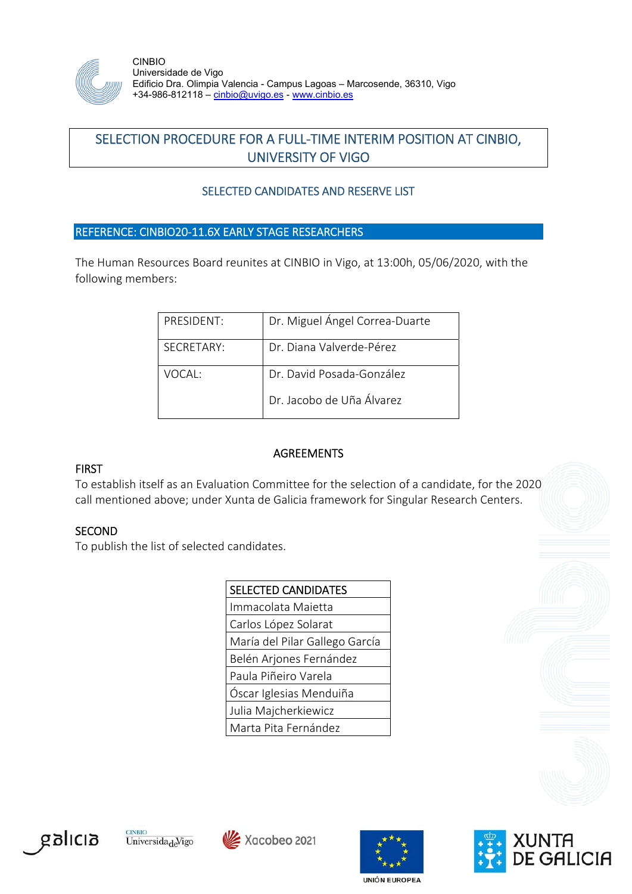

CINBIO Universidade de Vigo Edificio Dra. Olimpia Valencia - Campus Lagoas – Marcosende, 36310, Vigo +34-986-812118 – cinbio@uvigo.es - www.cinbio.es

# SELECTION PROCEDURE FOR A FULL‐TIME INTERIM POSITION AT CINBIO, UNIVERSITY OF VIGO

# SELECTED CANDIDATES AND RESERVE LIST

### REFERENCE: CINBIO20‐11.6X EARLY STAGE RESEARCHERS

The Human Resources Board reunites at CINBIO in Vigo, at 13:00h, 05/06/2020, with the following members:

| PRESIDENT: | Dr. Miguel Ángel Correa-Duarte |
|------------|--------------------------------|
| SECRETARY: | Dr. Diana Valverde-Pérez       |
| VOCAL·     | Dr. David Posada-González      |
|            | Dr. Jacobo de Uña Álvarez      |

### **FIRST**

#### **AGREEMENTS**

To establish itself as an Evaluation Committee for the selection of a candidate, for the 2020 call mentioned above; under Xunta de Galicia framework for Singular Research Centers.

### **SECOND**

To publish the list of selected candidates.

| <b>SELECTED CANDIDATES</b>     |  |
|--------------------------------|--|
| Immacolata Maietta             |  |
| Carlos López Solarat           |  |
| María del Pilar Gallego García |  |
| Belén Arjones Fernández        |  |
| Paula Piñeiro Varela           |  |
| Óscar Iglesias Menduiña        |  |
| Julia Majcherkiewicz           |  |
| Marta Pita Fernández           |  |